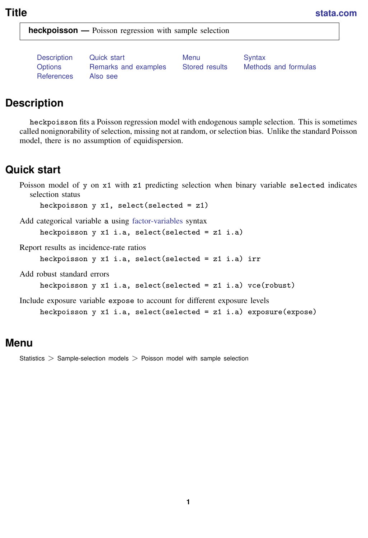<span id="page-0-3"></span>**Title [stata.com](http://stata.com)**

**heckpoisson —** Poisson regression with sample selection

[References](#page-9-0) [Also see](#page-9-1)

[Description](#page-0-0) [Quick start](#page-0-1) [Menu](#page-0-2) Menu [Syntax](#page-1-0) [Options](#page-2-0) [Remarks and examples](#page-3-0) [Stored results](#page-7-0) [Methods and formulas](#page-8-0)

# <span id="page-0-0"></span>**Description**

heckpoisson fits a Poisson regression model with endogenous sample selection. This is sometimes called nonignorability of selection, missing not at random, or selection bias. Unlike the standard Poisson model, there is no assumption of equidispersion.

# <span id="page-0-1"></span>**Quick start**

Poisson model of y on x1 with z1 predicting selection when binary variable selected indicates selection status

heckpoisson  $y \times 1$ , select(selected = z1)

Add categorical variable a using [factor-variables](https://www.stata.com/manuals/u11.pdf#u11.4.3Factorvariables) syntax heckpoisson y x1 i.a, select(selected =  $z1$  i.a)

Report results as incidence-rate ratios

heckpoisson y x1 i.a, select(selected = z1 i.a) irr

Add robust standard errors

```
heckpoisson y x1 i.a, select(selected = z1 i.a) vce(robust)
```
<span id="page-0-2"></span>Include exposure variable expose to account for different exposure levels heckpoisson y x1 i.a, select(selected = z1 i.a) exposure(expose)

## **Menu**

Statistics > Sample-selection models > Poisson model with sample selection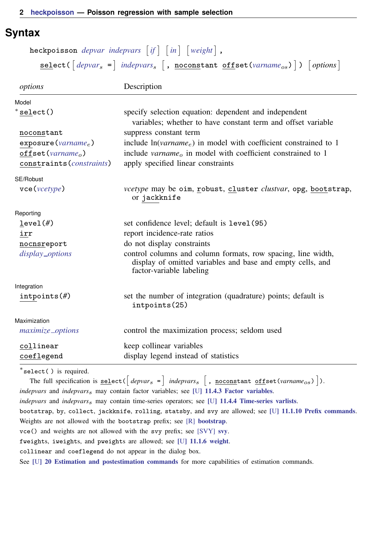# <span id="page-1-0"></span>**Syntax**

| heckpoisson <i>depvar</i> indepvars $[if] [in] [weight],$                                             |
|-------------------------------------------------------------------------------------------------------|
| ${\sf select}(\text{[depvar_s =] indepvars_s}, \text{[, noconstant offset(varname_{os})])}$ [options] |

| options                                                   | Description                                                                                                                                            |
|-----------------------------------------------------------|--------------------------------------------------------------------------------------------------------------------------------------------------------|
| Model                                                     |                                                                                                                                                        |
| $*$ select()                                              | specify selection equation: dependent and independent<br>variables: whether to have constant term and offset variable                                  |
| noconstant                                                | suppress constant term                                                                                                                                 |
| exposure( <i>varname<sub>e</sub></i> )                    | include $ln(varname_e)$ in model with coefficient constrained to 1                                                                                     |
| $offset (varnameo)$<br>constraints ( <i>constraints</i> ) | include variance in model with coefficient constrained to 1<br>apply specified linear constraints                                                      |
| SE/Robust                                                 |                                                                                                                                                        |
| $\text{vec}(\text{vcetype})$                              | <i>vcetype</i> may be oim, robust, cluster <i>clustvar</i> , opg, bootstrap,<br>or jackknife                                                           |
| Reporting                                                 |                                                                                                                                                        |
| level(f)                                                  | set confidence level; default is level (95)                                                                                                            |
| irr                                                       | report incidence-rate ratios                                                                                                                           |
| nocnsreport                                               | do not display constraints                                                                                                                             |
| display_options                                           | control columns and column formats, row spacing, line width,<br>display of omitted variables and base and empty cells, and<br>factor-variable labeling |
| Integration                                               |                                                                                                                                                        |
| $intpoints(\#)$                                           | set the number of integration (quadrature) points; default is<br>intpoints(25)                                                                         |
| Maximization                                              |                                                                                                                                                        |
| maximize_options                                          | control the maximization process; seldom used                                                                                                          |
| collinear                                                 | keep collinear variables                                                                                                                               |
| coeflegend                                                | display legend instead of statistics                                                                                                                   |

∗ select( ) is required.

The full specification is  $\underline{\texttt{select}}(\begin{bmatrix} \textit{depvar}_s \end{bmatrix}$  indepvars<sub>s</sub>  $\begin{bmatrix}$ ,  $\underline{\texttt{nocostant}} \textit{offset}(\textit{varname}_{os}) \end{bmatrix} )$ . *indepvars* and *indepvars*<sub>s</sub> may contain factor variables; see [U[\] 11.4.3 Factor variables](https://www.stata.com/manuals/u11.pdf#u11.4.3Factorvariables). *indepvars* and *indepvars*s may contain time-series operators; see [U[\] 11.4.4 Time-series varlists](https://www.stata.com/manuals/u11.pdf#u11.4.4Time-seriesvarlists). bootstrap, by, collect, jackknife, rolling, statsby, and svy are allowed; see [U[\] 11.1.10 Prefix commands](https://www.stata.com/manuals/u11.pdf#u11.1.10Prefixcommands). Weights are not allowed with the bootstrap prefix; see [R] [bootstrap](https://www.stata.com/manuals/rbootstrap.pdf#rbootstrap). vce() and weights are not allowed with the svy prefix; see [\[SVY\]](https://www.stata.com/manuals/svysvy.pdf#svysvy) svy. fweights, iweights, and pweights are allowed; see [U[\] 11.1.6 weight](https://www.stata.com/manuals/u11.pdf#u11.1.6weight). collinear and coeflegend do not appear in the dialog box. See [U[\] 20 Estimation and postestimation commands](https://www.stata.com/manuals/u20.pdf#u20Estimationandpostestimationcommands) for more capabilities of estimation commands.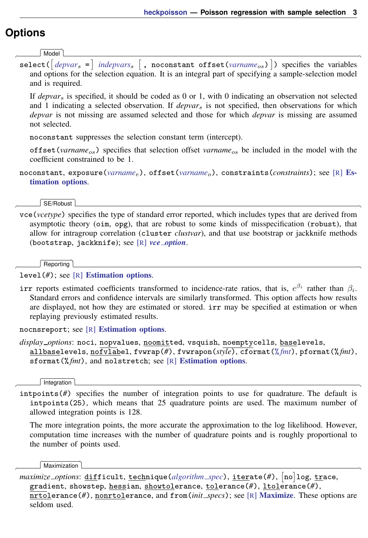# <span id="page-2-0"></span>**Options**

 $\overline{a}$ 

 $\overline{a}$ 

 $\overline{a}$ 

 $\overline{a}$ 

<span id="page-2-2"></span> $\overline{a}$ 

**Model** Model

select( $\left[ \textit{depvar}_{s}\right. =\right]$  $\left[ \textit{depvar}_{s}\right. =\right]$  $\left[ \textit{depvar}_{s}\right. =\right]$  *[indepvars](https://www.stata.com/manuals/u11.pdf#u11.4varnameandvarlists)*<sub>s</sub>  $\left[$  , noconstant offset(*[varname](https://www.stata.com/manuals/u11.pdf#u11.4varnameandvarlists)<sub>os</sub>*)]) specifies the variables and options for the selection equation. It is an integral part of specifying a sample-selection model and is required.

If *depvar*<sup>s</sup> is specified, it should be coded as 0 or 1, with 0 indicating an observation not selected and 1 indicating a selected observation. If *depvar*<sup>s</sup> is not specified, then observations for which *depvar* is not missing are assumed selected and those for which *depvar* is missing are assumed not selected.

noconstant suppresses the selection constant term (intercept).

offset (*varname<sub>os</sub>*) specifies that selection offset *varname<sub>os</sub>* be included in the model with the coefficient constrained to be 1.

noconstant, exposure(*[varname](https://www.stata.com/manuals/u11.pdf#u11.4varnameandvarlists)<sub>e</sub>*), offset(*varname<sub>o</sub>*), constraints(*constraints*); see [R] [Es](https://www.stata.com/manuals/restimationoptions.pdf#rEstimationoptions)[timation options](https://www.stata.com/manuals/restimationoptions.pdf#rEstimationoptions).

SE/Robust SE/Robust Letters and the contract of the contract of the contract of the contract of the contract of the contract of the contract of the contract of the contract of the contract of the contract of the contract of the cont

vce(*vcetype*) specifies the type of standard error reported, which includes types that are derived from asymptotic theory (oim, opg), that are robust to some kinds of misspecification (robust), that allow for intragroup correlation (cluster *clustvar*), and that use bootstrap or jackknife methods (bootstrap, jackknife); see [R] *vce [option](https://www.stata.com/manuals/rvce_option.pdf#rvce_option)*.

Reporting Reporting Letters and the contract of the contract of the contract of the contract of the contract of the contract of the contract of the contract of the contract of the contract of the contract of the contract of the cont

level(*#*); see [R] [Estimation options](https://www.stata.com/manuals/restimationoptions.pdf#rEstimationoptions).

irr reports estimated coefficients transformed to incidence-rate ratios, that is,  $e^{\beta_i}$  rather than  $\beta_i$ . Standard errors and confidence intervals are similarly transformed. This option affects how results are displayed, not how they are estimated or stored. irr may be specified at estimation or when replaying previously estimated results.

nocnsreport; see [R] [Estimation options](https://www.stata.com/manuals/restimationoptions.pdf#rEstimationoptions).

<span id="page-2-1"></span>*display options*: noci, nopvalues, noomitted, vsquish, noemptycells, baselevels, allbaselevels, nofvlabel, fvwrap(*#*), fvwrapon(*style*), cformat(% *[fmt](https://www.stata.com/manuals/d.pdf#dformat)*), pformat(% *fmt*), sformat(% *fmt*), and nolstretch; see [R] [Estimation options](https://www.stata.com/manuals/restimationoptions.pdf#rEstimationoptions).

Integration | Integration **Definition Contract Contract Contract Contract Contract Contract Contract Contract Contract Contract Contract Contract Contract Contract Contract Contract Contract Contract Contract Contract Contract Contrac** 

intpoints(*#*) specifies the number of integration points to use for quadrature. The default is intpoints(25), which means that 25 quadrature points are used. The maximum number of allowed integration points is 128.

The more integration points, the more accurate the approximation to the log likelihood. However, computation time increases with the number of quadrature points and is roughly proportional to the number of points used.

**Maximization** Maximization **the contract of the contract of the contract of the contract of the contract of the contract of the contract of the contract of the contract of the contract of the contract of the contract of the contract of** 

*maximize options*: difficult, technique(*[algorithm](https://www.stata.com/manuals/rmaximize.pdf#rMaximizeSyntaxalgorithm_spec) spec*), iterate(*#*), - no log, trace, gradient, showstep, hessian, showtolerance, tolerance(*#*), ltolerance(*#*), nrtolerance(*#*), nonrtolerance, and from(*init specs*); see [R] [Maximize](https://www.stata.com/manuals/rmaximize.pdf#rMaximize). These options are seldom used.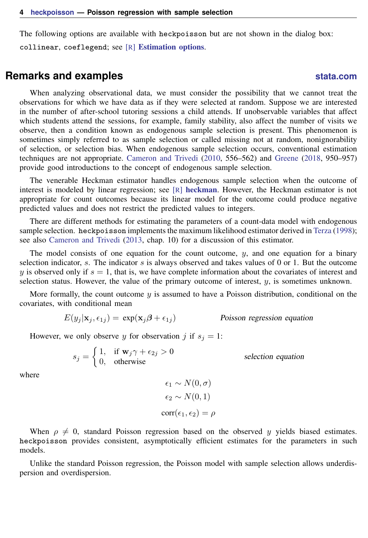<span id="page-3-0"></span>The following options are available with heckpoisson but are not shown in the dialog box: collinear, coeflegend; see [R] [Estimation options](https://www.stata.com/manuals/restimationoptions.pdf#rEstimationoptions).

## **Remarks and examples [stata.com](http://stata.com)**

When analyzing observational data, we must consider the possibility that we cannot treat the observations for which we have data as if they were selected at random. Suppose we are interested in the number of after-school tutoring sessions a child attends. If unobservable variables that affect which students attend the sessions, for example, family stability, also affect the number of visits we observe, then a condition known as endogenous sample selection is present. This phenomenon is sometimes simply referred to as sample selection or called missing not at random, nonignorability of selection, or selection bias. When endogenous sample selection occurs, conventional estimation techniques are not appropriate. [Cameron and Trivedi](#page-9-2) [\(2010,](#page-9-2) 556–562) and [Greene](#page-9-3) [\(2018](#page-9-3), 950–957) provide good introductions to the concept of endogenous sample selection.

The venerable Heckman estimator handles endogenous sample selection when the outcome of interest is modeled by linear regression; see [R] [heckman](https://www.stata.com/manuals/rheckman.pdf#rheckman). However, the Heckman estimator is not appropriate for count outcomes because its linear model for the outcome could produce negative predicted values and does not restrict the predicted values to integers.

There are different methods for estimating the parameters of a count-data model with endogenous sample selection. heckpoisson implements the maximum likelihood estimator derived in [Terza](#page-9-4) [\(1998](#page-9-4)); see also [Cameron and Trivedi](#page-9-5) ([2013,](#page-9-5) chap. 10) for a discussion of this estimator.

The model consists of one equation for the count outcome,  $y$ , and one equation for a binary selection indicator, s. The indicator s is always observed and takes values of  $0$  or 1. But the outcome y is observed only if  $s = 1$ , that is, we have complete information about the covariates of interest and selection status. However, the value of the primary outcome of interest,  $y<sub>i</sub>$ , is sometimes unknown.

More formally, the count outcome  $y$  is assumed to have a Poisson distribution, conditional on the covariates, with conditional mean

$$
E(y_j|\mathbf{x}_j, \epsilon_{1j}) = \exp(\mathbf{x}_j \boldsymbol{\beta} + \epsilon_{1j})
$$
 Poisson regression equation

However, we only observe y for observation j if  $s_i = 1$ :

$$
s_j = \begin{cases} 1, & \text{if } \mathbf{w}_j \gamma + \epsilon_{2j} > 0 \\ 0, & \text{otherwise} \end{cases} \qquad \text{selection equation}
$$

where

$$
\epsilon_1 \sim N(0, \sigma)
$$

$$
\epsilon_2 \sim N(0, 1)
$$

$$
corr(\epsilon_1, \epsilon_2) = \rho
$$

When  $\rho \neq 0$ , standard Poisson regression based on the observed y yields biased estimates. heckpoisson provides consistent, asymptotically efficient estimates for the parameters in such models.

Unlike the standard Poisson regression, the Poisson model with sample selection allows underdispersion and overdispersion.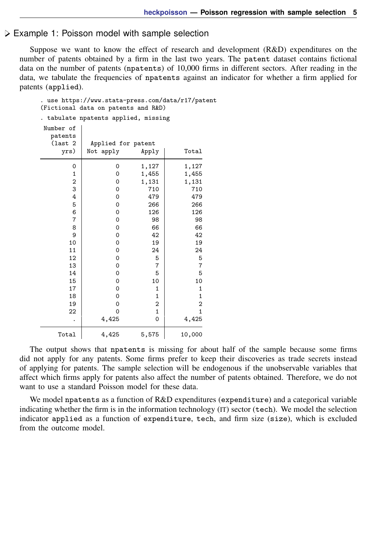### Example 1: Poisson model with sample selection

Suppose we want to know the effect of research and development (R&D) expenditures on the number of patents obtained by a firm in the last two years. The patent dataset contains fictional data on the number of patents (npatents) of 10,000 firms in different sectors. After reading in the data, we tabulate the frequencies of npatents against an indicator for whether a firm applied for patents (applied).

| . use https://www.stata-press.com/data/r17/patent<br>(Fictional data on patents and R&D) |                    |                |                |  |
|------------------------------------------------------------------------------------------|--------------------|----------------|----------------|--|
| tabulate npatents applied, missing                                                       |                    |                |                |  |
| Number of<br>patents<br>$\begin{pmatrix} 1 & 2 \\ 2 & 3 \end{pmatrix}$<br>yrs)           | Applied for patent |                |                |  |
|                                                                                          | Not apply          | Apply          | Total          |  |
| 0                                                                                        | 0                  | 1,127          | 1,127          |  |
| $\mathbf 1$                                                                              | 0                  | 1,455          | 1,455          |  |
| 2                                                                                        | 0                  | 1,131          | 1,131          |  |
| 3                                                                                        | 0                  | 710            | 710            |  |
| 4                                                                                        | 0                  | 479            | 479            |  |
| 5                                                                                        | $\mathbf 0$        | 266            | 266            |  |
| 6                                                                                        | $\mathbf 0$        | 126            | 126            |  |
| 7                                                                                        | 0                  | 98             | 98             |  |
| 8                                                                                        | 0                  | 66             | 66             |  |
| 9                                                                                        | $\mathbf 0$        | 42             | 42             |  |
| 10                                                                                       | 0                  | 19             | 19             |  |
| 11                                                                                       | $\mathbf 0$        | 24             | 24             |  |
| 12                                                                                       | 0                  | 5              | 5              |  |
| 13                                                                                       | 0                  | 7              | 7              |  |
| 14                                                                                       | 0                  | 5              | 5              |  |
| 15                                                                                       | $\mathbf 0$        | 10             | 10             |  |
| 17                                                                                       | $\mathbf 0$        | 1              | 1              |  |
| 18                                                                                       | 0                  | 1              | 1              |  |
| 19                                                                                       | 0                  | $\overline{2}$ | $\overline{2}$ |  |
| 22                                                                                       | $\mathbf 0$        | $\mathbf{1}$   | $\mathbf{1}$   |  |
|                                                                                          | 4,425              | 0              | 4,425          |  |
| Total                                                                                    | 4,425              | 5,575          | 10,000         |  |

The output shows that npatents is missing for about half of the sample because some firms did not apply for any patents. Some firms prefer to keep their discoveries as trade secrets instead of applying for patents. The sample selection will be endogenous if the unobservable variables that affect which firms apply for patents also affect the number of patents obtained. Therefore, we do not want to use a standard Poisson model for these data.

We model npatents as a function of R&D expenditures (expenditure) and a categorical variable indicating whether the firm is in the information technology (IT) sector (tech). We model the selection indicator applied as a function of expenditure, tech, and firm size (size), which is excluded from the outcome model.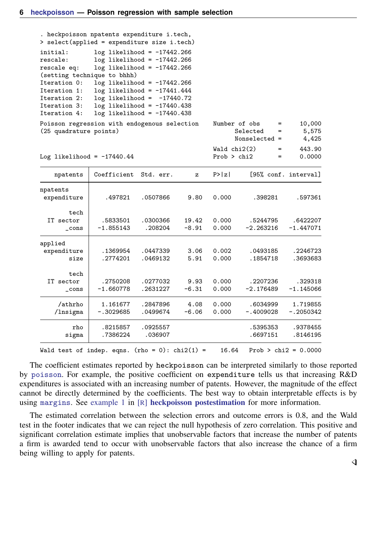| > select(applied = expenditure size i.tech)                                                                                                        | . heckpoisson npatents expenditure i.tech,                                                                                                                                                                                                                                          |                      |                  |                             |                                         |                          |
|----------------------------------------------------------------------------------------------------------------------------------------------------|-------------------------------------------------------------------------------------------------------------------------------------------------------------------------------------------------------------------------------------------------------------------------------------|----------------------|------------------|-----------------------------|-----------------------------------------|--------------------------|
| initial:<br>rescale:<br>rescale eq:<br>(setting technique to bhhh)<br>Iteration 0:<br>Iteration 1:<br>Iteration 2:<br>Iteration 3:<br>Iteration 4: | $log$ likelihood = $-17442.266$<br>$log$ likelihood = $-17442.266$<br>$log$ likelihood = $-17442.266$<br>$log$ likelihood = $-17442.266$<br>$log$ likelihood = $-17441.444$<br>$log$ likelihood = $-17440.72$<br>$log$ likelihood = $-17440.438$<br>$log$ likelihood = $-17440.438$ |                      |                  |                             |                                         |                          |
| Poisson regression with endogenous selection<br>(25 quadrature points)                                                                             |                                                                                                                                                                                                                                                                                     |                      |                  | Number of obs               | $=$<br>Selected<br>$=$<br>Nonselected = | 10,000<br>5,575<br>4,425 |
| Log likelihood = $-17440.44$                                                                                                                       |                                                                                                                                                                                                                                                                                     |                      |                  | Wald chi2(2)<br>Prob > chi2 | $=$<br>=                                | 443.90<br>0.0000         |
| npatents                                                                                                                                           | Coefficient                                                                                                                                                                                                                                                                         | Std. err.            | z                | P >  z                      |                                         | [95% conf. interval]     |
| npatents<br>expenditure                                                                                                                            | .497821                                                                                                                                                                                                                                                                             | .0507866             | 9.80             | 0.000                       | .398281                                 | .597361                  |
| tech<br>IT sector<br>$\_cons$                                                                                                                      | .5833501<br>$-1.855143$                                                                                                                                                                                                                                                             | .0300366<br>.208204  | 19.42<br>$-8.91$ | 0.000<br>0.000              | .5244795<br>$-2.263216$                 | .6422207<br>$-1.447071$  |
| applied<br>expenditure<br>size                                                                                                                     | .1369954<br>.2774201                                                                                                                                                                                                                                                                | .0447339<br>.0469132 | 3.06<br>5.91     | 0.002<br>0.000              | .0493185<br>.1854718                    | .2246723<br>.3693683     |
| tech<br>IT sector<br>$\_cons$                                                                                                                      | .2750208<br>$-1.660778$                                                                                                                                                                                                                                                             | .0277032<br>.2631227 | 9.93<br>$-6.31$  | 0.000<br>0.000              | .2207236<br>-2.176489                   | .329318<br>$-1.145066$   |
| /athrho<br>/lnsigma                                                                                                                                | 1.161677<br>$-.3029685$                                                                                                                                                                                                                                                             | .2847896<br>.0499674 | 4.08<br>$-6.06$  | 0.000<br>0.000              | .6034999<br>$-.4009028$                 | 1.719855<br>$-.2050342$  |
| rho<br>sigma                                                                                                                                       | .8215857<br>.7386224                                                                                                                                                                                                                                                                | .0925557<br>.036907  |                  |                             | .5395353<br>.6697151                    | .9378455<br>.8146195     |

Wald test of indep. eqns. (rho = 0): chi2(1) =  $16.64$  Prob > chi2 = 0.0000

The coefficient estimates reported by heckpoisson can be interpreted similarly to those reported by [poisson](https://www.stata.com/manuals/rpoisson.pdf#rpoisson). For example, the positive coefficient on expenditure tells us that increasing R&D expenditures is associated with an increasing number of patents. However, the magnitude of the effect cannot be directly determined by the coefficients. The best way to obtain interpretable effects is by using [margins](https://www.stata.com/manuals/rmargins.pdf#rmargins). See [example 1](https://www.stata.com/manuals/rheckpoissonpostestimation.pdf#rheckpoissonpostestimationRemarksandexamplesex1) in [R] [heckpoisson postestimation](https://www.stata.com/manuals/rheckpoissonpostestimation.pdf#rheckpoissonpostestimation) for more information.

The estimated correlation between the selection errors and outcome errors is 0.8, and the Wald test in the footer indicates that we can reject the null hypothesis of zero correlation. This positive and significant correlation estimate implies that unobservable factors that increase the number of patents a firm is awarded tend to occur with unobservable factors that also increase the chance of a firm being willing to apply for patents.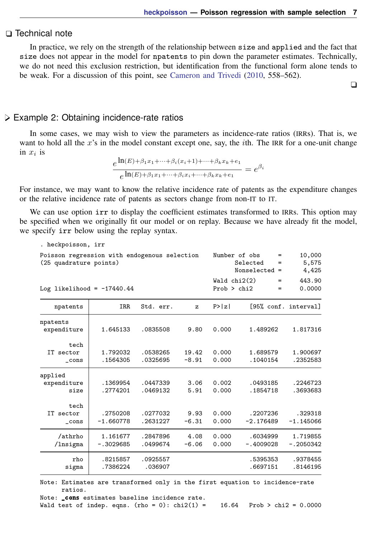### □ Technical note

In practice, we rely on the strength of the relationship between size and applied and the fact that size does not appear in the model for npatents to pin down the parameter estimates. Technically, we do not need this exclusion restriction, but identification from the functional form alone tends to be weak. For a discussion of this point, see [Cameron and Trivedi](#page-9-2) ([2010,](#page-9-2) 558–562).

 $\Box$ 

### Example 2: Obtaining incidence-rate ratios

In some cases, we may wish to view the parameters as incidence-rate ratios (IRRs). That is, we want to hold all the  $x$ 's in the model constant except one, say, the *i*th. The IRR for a one-unit change in  $x_i$  is

$$
\frac{e^{\ln(E) + \beta_1 x_1 + \dots + \beta_i (x_i + 1) + \dots + \beta_k x_k + e_1}}{e^{\ln(E) + \beta_1 x_1 + \dots + \beta_i x_i + \dots + \beta_k x_k + e_1}} = e^{\beta_i}
$$

For instance, we may want to know the relative incidence rate of patents as the expenditure changes or the relative incidence rate of patents as sectors change from non-IT to IT.

We can use option irr to display the coefficient estimates transformed to IRRs. This option may be specified when we originally fit our model or on replay. Because we have already fit the model, we specify irr below using the replay syntax.

| . heckpoisson, irr                                                     |                         |                      |                               |                |                                       |                          |
|------------------------------------------------------------------------|-------------------------|----------------------|-------------------------------|----------------|---------------------------------------|--------------------------|
| Poisson regression with endogenous selection<br>(25 quadrature points) |                         |                      |                               | Number of obs  | $=$<br>Selected<br>=<br>Nonselected = | 10,000<br>5,575<br>4,425 |
| Log likelihood = $-17440.44$                                           |                         |                      | Wald $chi2(2)$<br>Prob > chi2 | $=$<br>=       | 443.90<br>0.0000                      |                          |
| npatents                                                               | IRR                     | Std. err.            | z                             | P >  z         |                                       | [95% conf. interval]     |
| npatents<br>expenditure                                                | 1.645133                | .0835508             | 9.80                          | 0.000          | 1.489262                              | 1.817316                 |
| tech<br>IT sector<br>$\_cons$                                          | 1.792032<br>.1564305    | .0538265<br>.0325695 | 19.42<br>$-8.91$              | 0.000<br>0.000 | 1.689579<br>.1040154                  | 1.900697<br>.2352583     |
| applied<br>expenditure<br>size                                         | .1369954<br>.2774201    | .0447339<br>.0469132 | 3.06<br>5.91                  | 0.002<br>0.000 | .0493185<br>.1854718                  | .2246723<br>.3693683     |
| tech<br>IT sector<br>$\_cons$                                          | .2750208<br>$-1.660778$ | .0277032<br>.2631227 | 9.93<br>$-6.31$               | 0.000<br>0.000 | .2207236<br>$-2.176489$               | .329318<br>$-1.145066$   |
| /athrho<br>/lnsigma                                                    | 1.161677<br>$-.3029685$ | .2847896<br>.0499674 | 4.08<br>$-6.06$               | 0.000<br>0.000 | .6034999<br>$-.4009028$               | 1.719855<br>$-.2050342$  |
| rho<br>sigma                                                           | .8215857<br>.7386224    | .0925557<br>.036907  |                               |                | .5395353<br>.6697151                  | .9378455<br>.8146195     |

Note: Estimates are transformed only in the first equation to incidence-rate ratios.

Note: \_cons estimates baseline incidence rate.

Wald test of indep. eqns. (rho = 0):  $\text{chi2}(1) = 16.64$  Prob >  $\text{chi2} = 0.0000$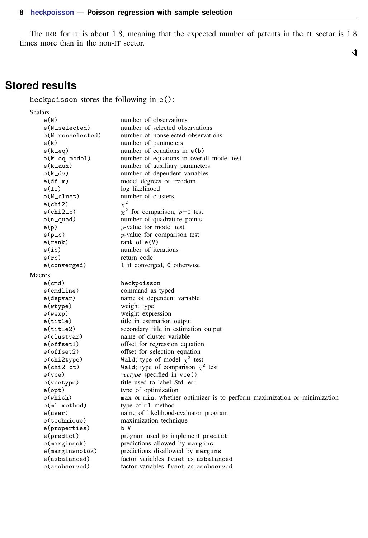The IRR for IT is about 1.8, meaning that the expected number of patents in the IT sector is 1.8 times more than in the non-IT sector.

## <span id="page-7-0"></span>**Stored results**

heckpoisson stores the following in e():

Scalars<br> $e(N)$ e(N) number of observations e(N\_selected) number of selected observations<br>e(N\_nonselected) number of nonselected observati number of nonselected observations e(k) number of parameters e(k\_eq) number of equations in e(b)<br>e(k\_eq\_mode1) number of equations in overa e(k\_eq\_model) number of equations in overall model test<br>e(k\_aux) number of auxiliary parameters number of auxiliary parameters e(k\_dv) number of dependent variables<br>e(df\_m) model degrees of freedom e(df\_m) model degrees of freedom<br>e(11) log likelihood e(11) log likelihood<br>e(N\_clust) humber of clu number of clusters  $e$ (chi2) 2  $e$ (chi2\_c)<br> $e$ (n\_quad) <sup>2</sup> for comparison,  $\rho=0$  test number of quadrature points  $e(p)$  p-value for model test  $e(p_c)$  p-value for comparison test e(rank) rank of e(V) e(ic) number of iterations e(rc) return code e(converged) 1 if converged, 0 otherwise Macros e(cmd) heckpoisson<br>e(cmdline) command as t e(cmdline) command as typed name of dependent variable e(wtype) weight type e(wexp) weight expression<br>e(title) title in estimation e(title) title in estimation output<br>e(title2) secondary title in estimate secondary title in estimation output e(clustvar) name of cluster variable<br>e(offset1) offset for regression equ e(offset1) offset for regression equation<br>e(offset2) offset for selection equation e(offset2) offset for selection equation<br>e(chi2type) Wald; type of model  $\chi^2$  tes e(chi2type) Wald; type of model  $\chi^2$  test e(chi2\_ct) Wald; type of comparison  $\chi^2$  test e(vce) *vcetype* specified in vce() e(vcetype) title used to label Std. err. e(opt) type of optimization e(which) max or min; whether optimizer is to perform maximization or minimization e(ml method) type of ml method e(user) name of likelihood-evaluator program e(technique) maximization technique e(properties) b V e(predict) program used to implement predict<br>e(marginsok) predictions allowed by margins e(marginsok) predictions allowed by margins<br>e(marginsnotok) predictions disallowed by margi predictions disallowed by margins e(asbalanced) factor variables fvset as asbalanced factor variables fyset as asobserved

 $\triangleleft$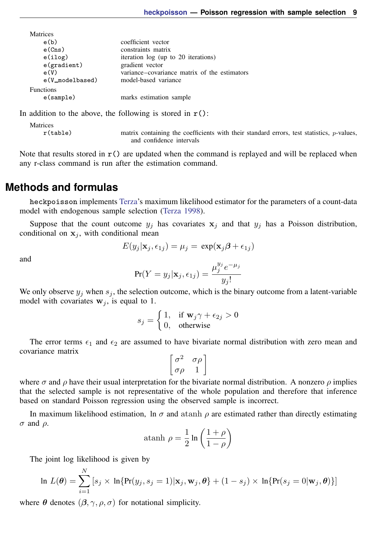| <b>IVIALITUES</b> |                 |                                              |
|-------------------|-----------------|----------------------------------------------|
| e(b)              |                 | coefficient vector                           |
| e(Cns)            |                 | constraints matrix                           |
| e(ilog)           |                 | iteration log (up to 20 iterations)          |
| $e$ (gradient)    |                 | gradient vector                              |
| e(V)              |                 | variance–covariance matrix of the estimators |
|                   | e(V_modelbased) | model-based variance                         |
| <b>Functions</b>  |                 |                                              |
| e(sample)         |                 | marks estimation sample                      |
|                   |                 |                                              |

In addition to the above, the following is stored in  $r()$ :

Matrices<br> $r$ (table)

Matrices

matrix containing the coefficients with their standard errors, test statistics,  $p$ -values, and confidence intervals

<span id="page-8-0"></span>Note that results stored in  $r()$  are updated when the command is replayed and will be replaced when any r-class command is run after the estimation command.

# **Methods and formulas**

heckpoisson implements [Terza](#page-9-4)'s maximum likelihood estimator for the parameters of a count-data model with endogenous sample selection [\(Terza](#page-9-4) [1998](#page-9-4)).

Suppose that the count outcome  $y_i$  has covariates  $x_i$  and that  $y_i$  has a Poisson distribution, conditional on  $x_i$ , with conditional mean

$$
E(y_j|\mathbf{x}_j, \epsilon_{1j}) = \mu_j = \exp(\mathbf{x}_j \boldsymbol{\beta} + \epsilon_{1j})
$$

and

$$
\Pr(Y = y_j | \mathbf{x}_j, \epsilon_{1j}) = \frac{\mu_j^{y_j} e^{-\mu_j}}{y_j!}
$$

We only observe  $y_j$  when  $s_j$ , the selection outcome, which is the binary outcome from a latent-variable model with covariates  $w_i$ , is equal to 1.

$$
s_j = \begin{cases} 1, & \text{if } \mathbf{w}_j \gamma + \epsilon_{2j} > 0 \\ 0, & \text{otherwise} \end{cases}
$$

The error terms  $\epsilon_1$  and  $\epsilon_2$  are assumed to have bivariate normal distribution with zero mean and covariance matrix

$$
\left[ \begin{matrix} \sigma^2 & \sigma \rho \\ \sigma \rho & 1 \end{matrix} \right]
$$

where  $\sigma$  and  $\rho$  have their usual interpretation for the bivariate normal distribution. A nonzero  $\rho$  implies that the selected sample is not representative of the whole population and therefore that inference based on standard Poisson regression using the observed sample is incorrect.

In maximum likelihood estimation, ln  $\sigma$  and atanh  $\rho$  are estimated rather than directly estimating  $\sigma$  and  $\rho$ .

atanh 
$$
\rho = \frac{1}{2} \ln \left( \frac{1+\rho}{1-\rho} \right)
$$

The joint log likelihood is given by

$$
\ln L(\boldsymbol{\theta}) = \sum_{i=1}^{N} [s_j \times \ln\{\Pr(y_j, s_j = 1) | \mathbf{x}_j, \mathbf{w}_j, \boldsymbol{\theta}\} + (1 - s_j) \times \ln\{\Pr(s_j = 0 | \mathbf{w}_j, \boldsymbol{\theta})\}]
$$

where  $\theta$  denotes  $(\beta, \gamma, \rho, \sigma)$  for notational simplicity.